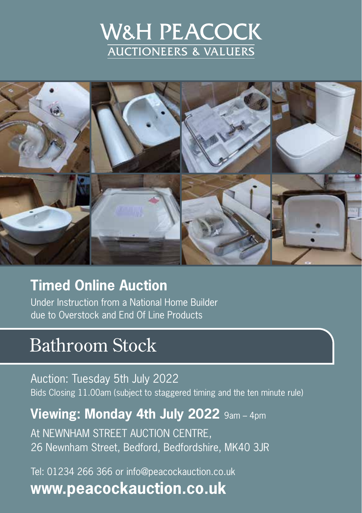# W&H PEACOCK **AUCTIONEERS & VALUERS**



### **Timed Online Auction**

Under Instruction from a National Home Builder due to Overstock and End Of Line Products

# Bathroom Stock

Auction: Tuesday 5th July 2022 Bids Closing 11.00am (subject to staggered timing and the ten minute rule)

### **Viewing: Monday 4th July 2022** 9am – 4pm

At NEWNHAM STREET AUCTION CENTRE, 26 Newnham Street, Bedford, Bedfordshire, MK40 3JR

Tel: 01234 266 366 or info@peacockauction.co.uk **www.peacockauction.co.uk**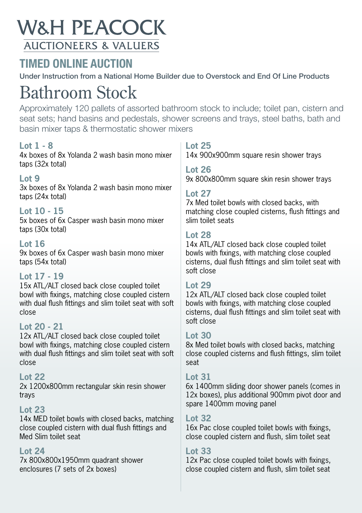## **W&H PEACOCK AUCTIONEERS & VALUERS**

### **TIMED ONLINE AUCTION**

Under Instruction from a National Home Builder due to Overstock and End Of Line Products

# Bathroom Stock

Approximately 120 pallets of assorted bathroom stock to include; toilet pan, cistern and seat sets; hand basins and pedestals, shower screens and trays, steel baths, bath and basin mixer taps & thermostatic shower mixers

#### **Lot 1 - 8**

4x boxes of 8x Yolanda 2 wash basin mono mixer taps (32x total)

#### **Lot 9**

3x boxes of 8x Yolanda 2 wash basin mono mixer taps (24x total)

#### **Lot 10 - 15**

5x boxes of 6x Casper wash basin mono mixer taps (30x total)

#### **Lot 16**

9x boxes of 6x Casper wash basin mono mixer taps (54x total)

#### **Lot 17 - 19**

15x ATL/ALT closed back close coupled toilet bowl with fixings, matching close coupled cistern with dual flush fittings and slim toilet seat with soft close

#### **Lot 20 - 21**

12x ATL/ALT closed back close coupled toilet bowl with fixings, matching close coupled cistern with dual flush fittings and slim toilet seat with soft close

#### **Lot 22**

2x 1200x800mm rectangular skin resin shower trays

#### **Lot 23**

14x MED toilet bowls with closed backs, matching close coupled cistern with dual flush fittings and Med Slim toilet seat

#### **Lot 24**

7x 800x800x1950mm quadrant shower enclosures (7 sets of 2x boxes)

#### **Lot 25**

14x 900x900mm square resin shower trays

#### **Lot 26**

9x 800x800mm square skin resin shower trays

#### **Lot 27**

7x Med toilet bowls with closed backs, with matching close coupled cisterns, flush fittings and slim toilet seats

#### **Lot 28**

14x ATL/ALT closed back close coupled toilet bowls with fixings, with matching close coupled cisterns, dual flush fittings and slim toilet seat with soft close

#### **Lot 29**

12x ATL/ALT closed back close coupled toilet bowls with fixings, with matching close coupled cisterns, dual flush fittings and slim toilet seat with soft close

#### **Lot 30**

8x Med toilet bowls with closed backs, matching close coupled cisterns and flush fittings, slim toilet seat

#### **Lot 31**

6x 1400mm sliding door shower panels (comes in 12x boxes), plus additional 900mm pivot door and spare 1400mm moving panel

#### **Lot 32**

16x Pac close coupled toilet bowls with fixings, close coupled cistern and flush, slim toilet seat

#### **Lot 33**

12x Pac close coupled toilet bowls with fixings, close coupled cistern and flush, slim toilet seat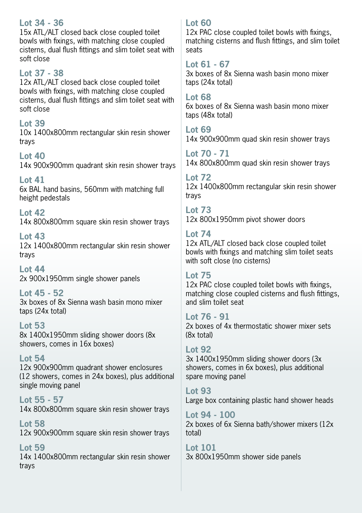#### **Lot 34 - 36**

15x ATL/ALT closed back close coupled toilet bowls with fixings, with matching close coupled cisterns, dual flush fittings and slim toilet seat with soft close

#### **Lot 37 - 38**

12x ATL/ALT closed back close coupled toilet bowls with fixings, with matching close coupled cisterns, dual flush fittings and slim toilet seat with soft close

#### **Lot 39**

10x 1400x800mm rectangular skin resin shower trays

#### **Lot 40**

14x 900x900mm quadrant skin resin shower trays

**Lot 41** 6x BAL hand basins, 560mm with matching full height pedestals

**Lot 42** 14x 800x800mm square skin resin shower trays

**Lot 43** 12x 1400x800mm rectangular skin resin shower trays

**Lot 44** 2x 900x1950mm single shower panels

#### **Lot 45 - 52**

3x boxes of 8x Sienna wash basin mono mixer taps (24x total)

**Lot 53** 8x 1400x1950mm sliding shower doors (8x showers, comes in 16x boxes)

#### **Lot 54** 12x 900x900mm quadrant shower enclosures (12 showers, comes in 24x boxes), plus additional single moving panel

**Lot 55 - 57** 14x 800x800mm square skin resin shower trays

**Lot 58** 12x 900x900mm square skin resin shower trays

**Lot 59** 14x 1400x800mm rectangular skin resin shower trays

#### **Lot 60**

12x PAC close coupled toilet bowls with fixings, matching cisterns and flush fittings, and slim toilet seats

#### **Lot 61 - 67**

3x boxes of 8x Sienna wash basin mono mixer taps (24x total)

#### **Lot 68**

6x boxes of 8x Sienna wash basin mono mixer taps (48x total)

**Lot 69** 14x 900x900mm quad skin resin shower trays

**Lot 70 - 71** 14x 800x800mm quad skin resin shower trays

**Lot 72** 12x 1400x800mm rectangular skin resin shower trays

**Lot 73** 12x 800x1950mm pivot shower doors

#### **Lot 74**

12x ATL/ALT closed back close coupled toilet bowls with fixings and matching slim toilet seats with soft close (no cisterns)

#### **Lot 75**

12x PAC close coupled toilet bowls with fixings, matching close coupled cisterns and flush fittings, and slim toilet seat

#### **Lot 76 - 91**

2x boxes of 4x thermostatic shower mixer sets (8x total)

#### **Lot 92**

3x 1400x1950mm sliding shower doors (3x showers, comes in 6x boxes), plus additional spare moving panel

#### **Lot 93**

Large box containing plastic hand shower heads

**Lot 94 - 100** 2x boxes of 6x Sienna bath/shower mixers (12x total)

**Lot 101** 3x 800x1950mm shower side panels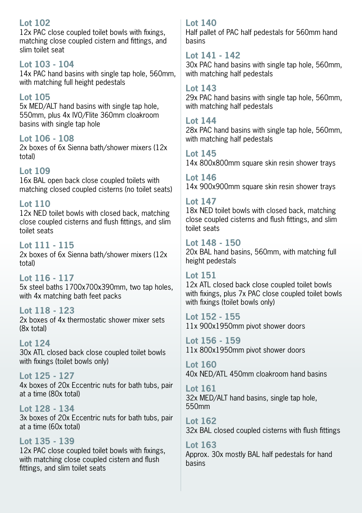#### **Lot 102**

12x PAC close coupled toilet bowls with fixings, matching close coupled cistern and fittings, and slim toilet seat

#### **Lot 103 - 104**

14x PAC hand basins with single tap hole, 560mm, with matching full height pedestals

#### **Lot 105**

5x MED/ALT hand basins with single tap hole, 550mm, plus 4x IVO/Flite 360mm cloakroom basins with single tap hole

#### **Lot 106 - 108**

2x boxes of 6x Sienna bath/shower mixers (12x total)

#### **Lot 109**

16x BAL open back close coupled toilets with matching closed coupled cisterns (no toilet seats)

#### **Lot 110**

12x NED toilet bowls with closed back, matching close coupled cisterns and flush fittings, and slim toilet seats

#### **Lot 111 - 115**

2x boxes of 6x Sienna bath/shower mixers (12x total)

**Lot 116 - 117** 5x steel baths 1700x700x390mm, two tap holes, with 4x matching bath feet packs

#### **Lot 118 - 123**

2x boxes of 4x thermostatic shower mixer sets (8x total)

#### **Lot 124**

30x ATL closed back close coupled toilet bowls with fixings (toilet bowls only)

**Lot 125 - 127** 4x boxes of 20x Eccentric nuts for bath tubs, pair at a time (80x total)

**Lot 128 - 134** 3x boxes of 20x Eccentric nuts for bath tubs, pair at a time (60x total)

#### **Lot 135 - 139**

12x PAC close coupled toilet bowls with fixings, with matching close coupled cistern and flush fittings, and slim toilet seats

#### **Lot 140**

Half pallet of PAC half pedestals for 560mm hand basins

#### **Lot 141 - 142**

30x PAC hand basins with single tap hole, 560mm, with matching half pedestals

#### **Lot 143**

29x PAC hand basins with single tap hole, 560mm, with matching half pedestals

#### **Lot 144**

28x PAC hand basins with single tap hole, 560mm, with matching half pedestals

#### **Lot 145**

14x 800x800mm square skin resin shower trays

#### **Lot 146**

14x 900x900mm square skin resin shower trays

#### **Lot 147**

18x NED toilet bowls with closed back, matching close coupled cisterns and flush fittings, and slim toilet seats

#### **Lot 148 - 150**

20x BAL hand basins, 560mm, with matching full height pedestals

#### **Lot 151**

12x ATL closed back close coupled toilet bowls with fixings, plus 7x PAC close coupled toilet bowls with fixings (toilet bowls only)

**Lot 152 - 155** 11x 900x1950mm pivot shower doors

**Lot 156 - 159** 11x 800x1950mm pivot shower doors

**Lot 160** 40x NED/ATL 450mm cloakroom hand basins

**Lot 161** 32x MED/ALT hand basins, single tap hole, 550mm

**Lot 162** 32x BAL closed coupled cisterns with flush fittings

**Lot 163** Approx. 30x mostly BAL half pedestals for hand basins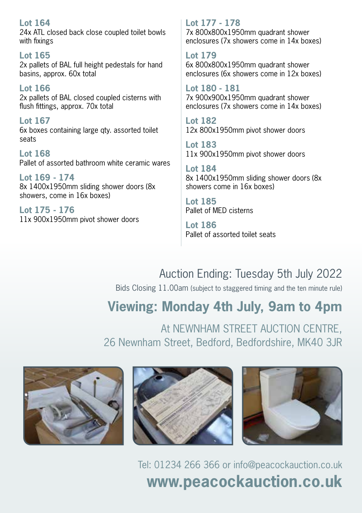#### **Lot 164** 24x ATL closed back close coupled toilet bowls with fixings **Lot 165** 2x pallets of BAL full height pedestals for hand basins, approx. 60x total **Lot 166**

2x pallets of BAL closed coupled cisterns with flush fittings, approx. 70x total

**Lot 167** 6x boxes containing large qty. assorted toilet seats

**Lot 168** Pallet of assorted bathroom white ceramic wares

**Lot 169 - 174** 8x 1400x1950mm sliding shower doors (8x showers, come in 16x boxes)

**Lot 175 - 176** 11x 900x1950mm pivot shower doors **Lot 177 - 178** 7x 800x800x1950mm quadrant shower enclosures (7x showers come in 14x boxes)

**Lot 179** 6x 800x800x1950mm quadrant shower enclosures (6x showers come in 12x boxes)

**Lot 180 - 181** 7x 900x900x1950mm quadrant shower enclosures (7x showers come in 14x boxes)

**Lot 182** 12x 800x1950mm pivot shower doors

**Lot 183** 11x 900x1950mm pivot shower doors

**Lot 184** 8x 1400x1950mm sliding shower doors (8x showers come in 16x boxes)

**Lot 185** Pallet of MED cisterns

**Lot 186** Pallet of assorted toilet seats

### Auction Ending: Tuesday 5th July 2022

Bids Closing 11.00am (subject to staggered timing and the ten minute rule)

## **Viewing: Monday 4th July, 9am to 4pm**

At NEWNHAM STREET AUCTION CENTRE, 26 Newnham Street, Bedford, Bedfordshire, MK40 3JR







Tel: 01234 266 366 or info@peacockauction.co.uk **www.peacockauction.co.uk**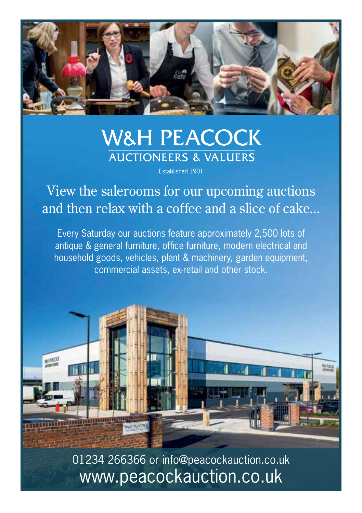

# **W&H PEACOCK AUCTIONEERS & VALUERS**

Established 1901

View the salerooms for our upcoming auctions and then relax with a coffee and a slice of cake...

Every Saturday our auctions feature approximately 2,500 lots of antique & general furniture, office furniture, modern electrical and household goods, vehicles, plant & machinery, garden equipment, commercial assets, ex-retail and other stock.



01234 266366 or info@peacockauction.co.uk www.peacockauction.co.uk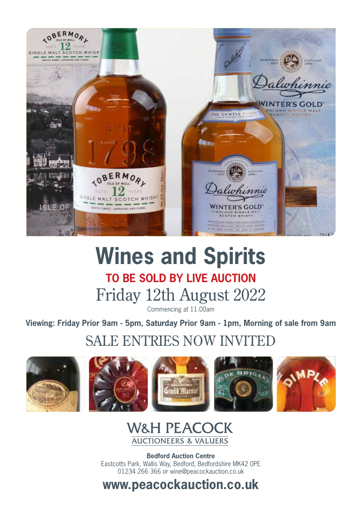

# **Wines and Spirits TO BE SOLD BY LIVE AUCTION** Friday 12th August 2022

Commencing at 11.00am

**Viewing: Friday Prior 9am - 5pm, Saturday Prior 9am - 1pm, Morning of sale from 9am**

### SALE ENTRIES NOW INVITED













**Bedford Auction Centre** Eastcotts Park, Wallis Way, Bedford, Bedfordshire MK42 0PE 01234 266 366 or wine@peacockauction.co.uk

**www.peacockauction.co.uk**